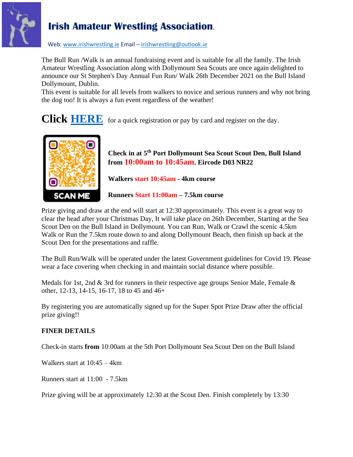

Web[: www.irishwrestling.ie](http://www.irishwrestling.ie/) Email - [irishwrestling@outlook.ie](mailto:irishwrestling@outlook.ie)

The Bull Run /Walk is an annual fundraising event and is suitable for all the family. The Irish Amateur Wrestling Association along with Dollymount Sea Scouts are once again delighted to announce our St Stephen's Day Annual Fun Run/ Walk 26th December 2021 on the Bull Island Dollymount, Dublin.

This event is suitable for all levels from walkers to novice and serious runners and why not bring the dog too! It is always a fun event regardless of the weather!

**Click [HERE](https://www.eventbrite.ie/e/bull-fun-run-walk-2021-tickets-222719830007)** for a quick registration or pay by card and register on the day.



**Check in at 5 th Port Dollymount Sea Scout Scout Den, Bull Island from 10:00am to 10:45am. Eircode D03 NR22**

**Walkers start 10:45am - 4km course**

**Runners Start 11:00am – 7.5km course**

Prize giving and draw at the end will start at 12:30 approximately. This event is a great way to clear the head after your Christmas Day, It will take place on 26th December, Starting at the Sea Scout Den on the Bull Island in Dollymount. You can Run, Walk or Crawl the scenic 4.5km Walk or Run the 7.5km route down to and along Dollymount Beach, then finish up back at the Scout Den for the presentations and raffle.

The Bull Run/Walk will be operated under the latest Government guidelines for Covid 19. Please wear a face covering when checking in and maintain social distance where possible.

Medals for 1st, 2nd & 3rd for runners in their respective age groups Senior Male, Female & other, 12-13, 14-15, 16-17, 18 to 45 and 46+

By registering you are automatically signed up for the Super Spot Prize Draw after the official prize giving!!

#### **FINER DETAILS**

Check-in starts **from** 10:00am at the 5th Port Dollymount Sea Scout Den on the Bull Island

Walkers start at 10:45 – 4km

Runners start at 11:00 - 7.5km

Prize giving will be at approximately 12:30 at the Scout Den. Finish completely by 13:30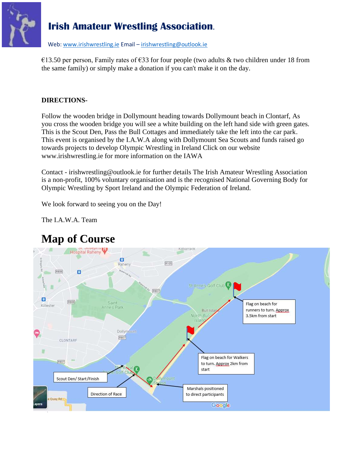

Web[: www.irishwrestling.ie](http://www.irishwrestling.ie/) Email - [irishwrestling@outlook.ie](mailto:irishwrestling@outlook.ie)

€13.50 per person, Family rates of €33 for four people (two adults & two children under 18 from the same family) or simply make a donation if you can't make it on the day.

### **DIRECTIONS-**

Follow the wooden bridge in Dollymount heading towards Dollymount beach in Clontarf, As you cross the wooden bridge you will see a white building on the left hand side with green gates. This is the Scout Den, Pass the Bull Cottages and immediately take the left into the car park. This event is organised by the I.A.W.A along with Dollymount Sea Scouts and funds raised go towards projects to develop Olympic Wrestling in Ireland Click on our website www.irishwrestling.ie for more information on the IAWA

Contact - irishwrestling@outlook.ie for further details The Irish Amateur Wrestling Association is a non-profit, 100% voluntary organisation and is the recognised National Governing Body for Olympic Wrestling by Sport Ireland and the Olympic Federation of Ireland.

We look forward to seeing you on the Day!

The I.A.W.A. Team



# **Map of Course**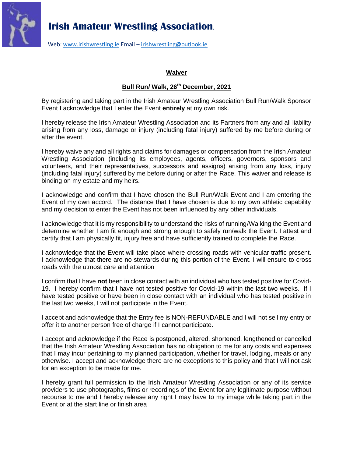

Web[: www.irishwrestling.ie](http://www.irishwrestling.ie/) Email – [irishwrestling@outlook.ie](mailto:irishwrestling@outlook.ie)

#### **Waiver**

#### **Bull Run/ Walk, 26th December, 2021**

By registering and taking part in the Irish Amateur Wrestling Association Bull Run/Walk Sponsor Event I acknowledge that I enter the Event **entirely** at my own risk.

I hereby release the Irish Amateur Wrestling Association and its Partners from any and all liability arising from any loss, damage or injury (including fatal injury) suffered by me before during or after the event.

I hereby waive any and all rights and claims for damages or compensation from the Irish Amateur Wrestling Association (including its employees, agents, officers, governors, sponsors and volunteers, and their representatives, successors and assigns) arising from any loss, injury (including fatal injury) suffered by me before during or after the Race. This waiver and release is binding on my estate and my heirs.

I acknowledge and confirm that I have chosen the Bull Run/Walk Event and I am entering the Event of my own accord. The distance that I have chosen is due to my own athletic capability and my decision to enter the Event has not been influenced by any other individuals.

I acknowledge that it is my responsibility to understand the risks of running/Walking the Event and determine whether I am fit enough and strong enough to safely run/walk the Event. I attest and certify that I am physically fit, injury free and have sufficiently trained to complete the Race.

I acknowledge that the Event will take place where crossing roads with vehicular traffic present. I acknowledge that there are no stewards during this portion of the Event. I will ensure to cross roads with the utmost care and attention

I confirm that I have **not** been in close contact with an individual who has tested positive for Covid-19. I hereby confirm that I have not tested positive for Covid-19 within the last two weeks. If I have tested positive or have been in close contact with an individual who has tested positive in the last two weeks, I will not participate in the Event.

I accept and acknowledge that the Entry fee is NON-REFUNDABLE and I will not sell my entry or offer it to another person free of charge if I cannot participate.

I accept and acknowledge if the Race is postponed, altered, shortened, lengthened or cancelled that the Irish Amateur Wrestling Association has no obligation to me for any costs and expenses that I may incur pertaining to my planned participation, whether for travel, lodging, meals or any otherwise. I accept and acknowledge there are no exceptions to this policy and that I will not ask for an exception to be made for me.

I hereby grant full permission to the Irish Amateur Wrestling Association or any of its service providers to use photographs, films or recordings of the Event for any legitimate purpose without recourse to me and I hereby release any right I may have to my image while taking part in the Event or at the start line or finish area